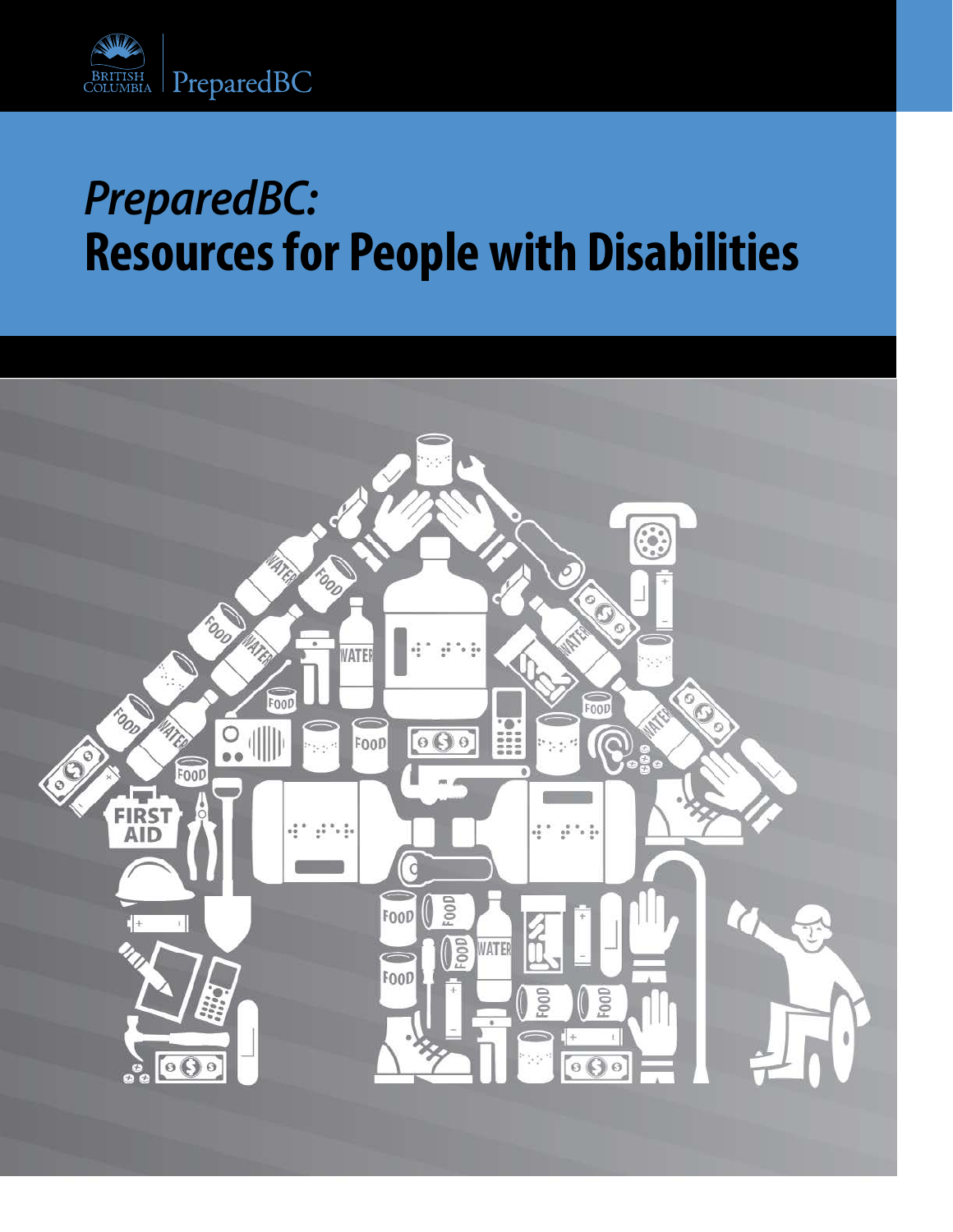

## *PreparedBC:* **Resources for People with Disabilities**

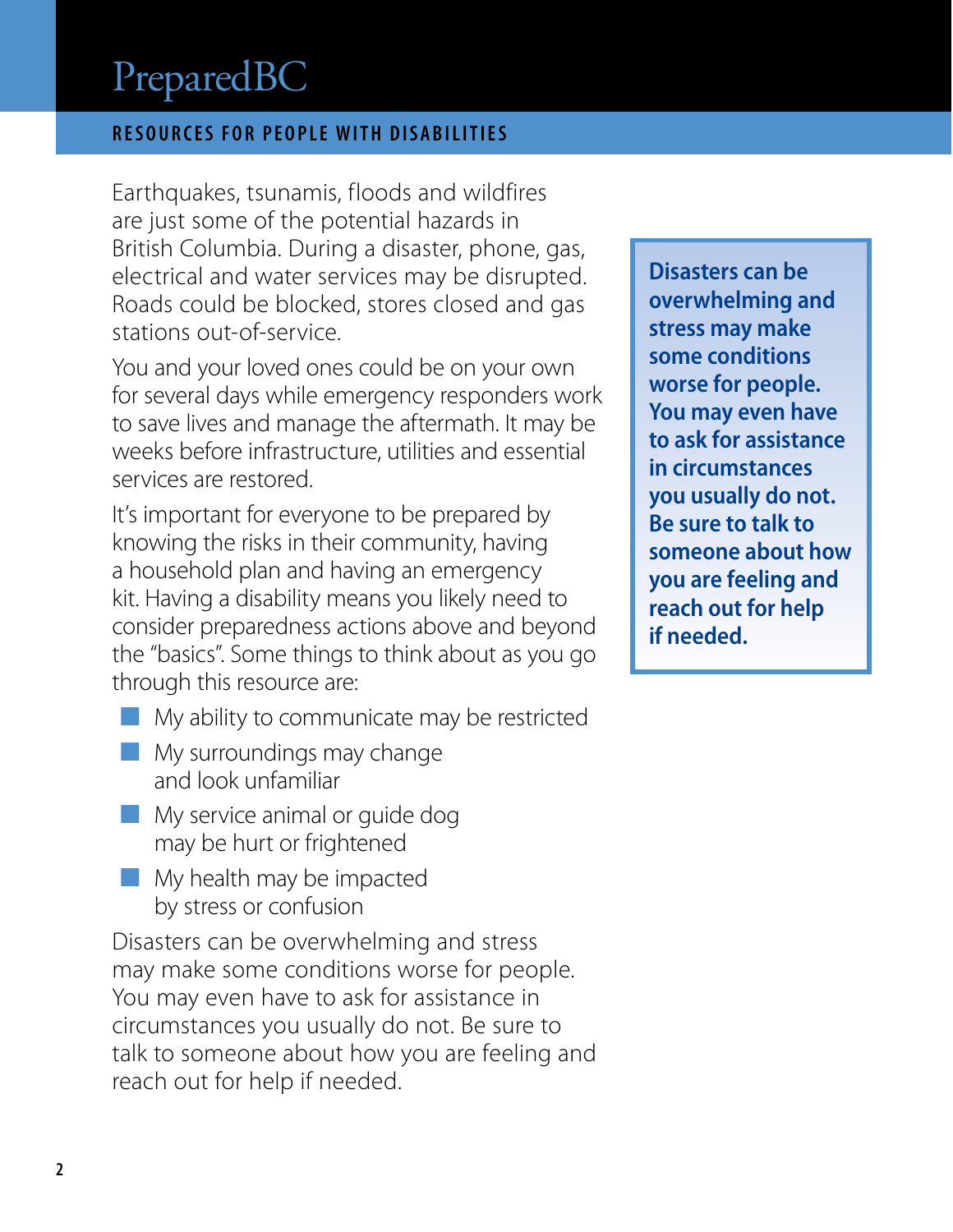#### **RESOURCES FOR PEOPLE WITH DISABILITIES**

Earthquakes, tsunamis, floods and wildfires are just some of the potential hazards in British Columbia. During a disaster, phone, gas, electrical and water services may be disrupted. Roads could be blocked, stores closed and gas stations out-of-service.

You and your loved ones could be on your own for several days while emergency responders work to save lives and manage the aftermath. It may be weeks before infrastructure, utilities and essential services are restored.

It's important for everyone to be prepared by knowing the risks in their community, having a household plan and having an emergency kit. Having a disability means you likely need to consider preparedness actions above and beyond the "basics". Some things to think about as you go through this resource are:

- My ability to communicate may be restricted
- $\blacksquare$  My surroundings may change and look unfamiliar
- ¢ My service animal or guide dog may be hurt or frightened
- ¢ My health may be impacted by stress or confusion

Disasters can be overwhelming and stress may make some conditions worse for people. You may even have to ask for assistance in circumstances you usually do not. Be sure to talk to someone about how you are feeling and reach out for help if needed.

**Disasters can be overwhelming and stress may make some conditions worse for people. You may even have to ask for assistance in circumstances you usually do not. Be sure to talk to someone about how you are feeling and reach out for help if needed.**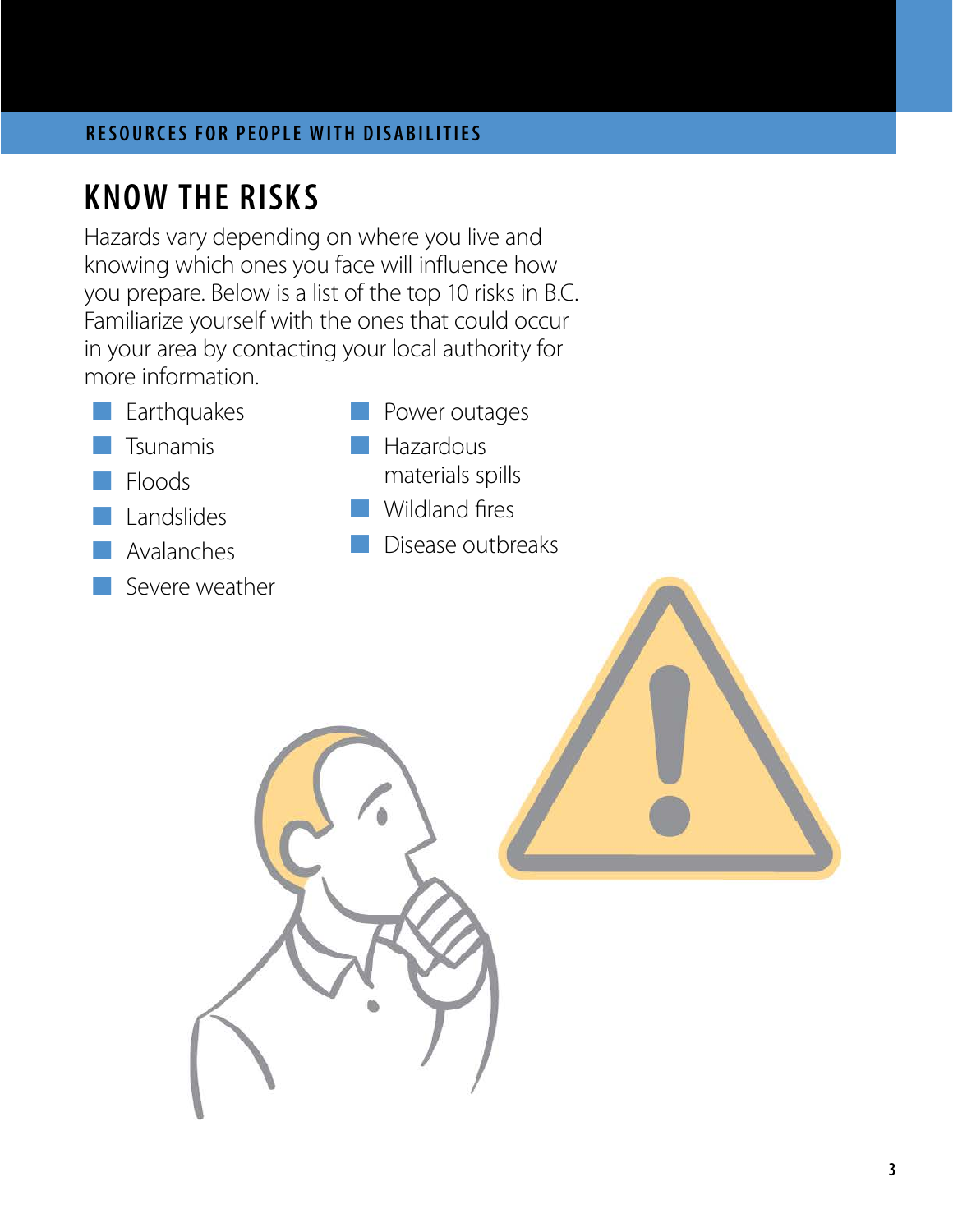## **KNOW THE RISKS**

Hazards vary depending on where you live and knowing which ones you face will influence how you prepare. Below is a list of the top 10 risks in B.C. Familiarize yourself with the ones that could occur in your area by contacting your local authority for more information.

- $\Box$  Earthquakes
- **Tsunamis**
- ¢ Floods
- ¢ Landslides
- ¢ Avalanches
- Severe weather
- Power outages
	- **Hazardous** materials spills
- ¢ Wildland fires
- ¢ Disease outbreaks

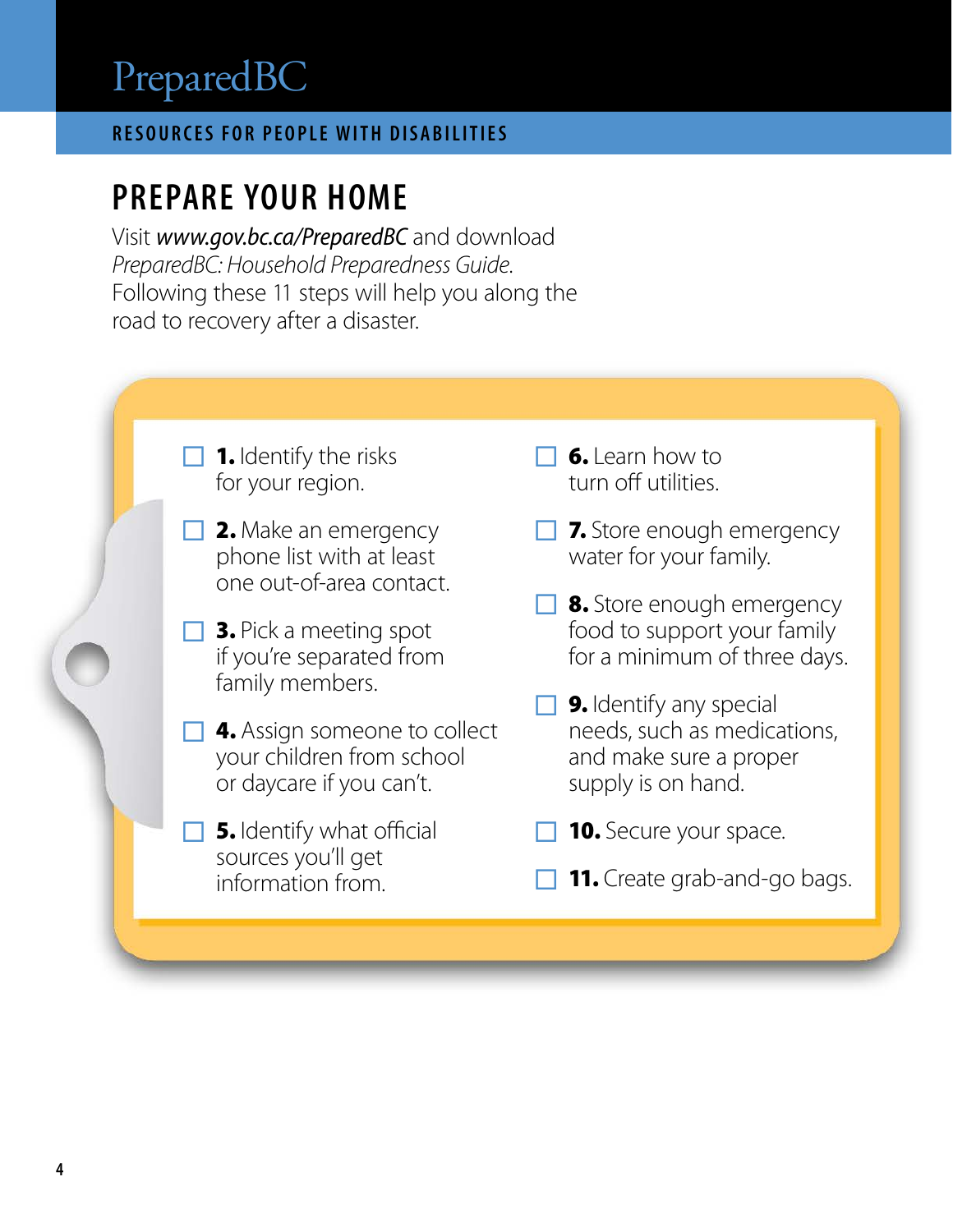### **RESOURCES FOR PEOPLE WITH DISABILITIES**

### **PREPARE YOUR HOME**

Visit *[www.gov.bc.ca/PreparedBC](http://www.gov.bc.ca/PreparedBC)* and download *PreparedBC: Household Preparedness Guide*. Following these 11 steps will help you along the road to recovery after a disaster.



- $\Box$  2. Make an emergency phone list with at least one out-of-area contact.
- $\Box$  3. Pick a meeting spot if you're separated from family members.
- **4.** Assign someone to collect your children from school or daycare if you can't.
- **5.** Identify what official sources you'll get information from.
- $\Box$  6. Learn how to turn off utilities.
- $\Box$  7. Store enough emergency water for your family.
- $\Box$  8. Store enough emergency food to support your family for a minimum of three days.
- $\Box$  **9.** Identify any special needs, such as medications, and make sure a proper supply is on hand.
- **10.** Secure your space.
- $\Box$  11. Create grab-and-go bags.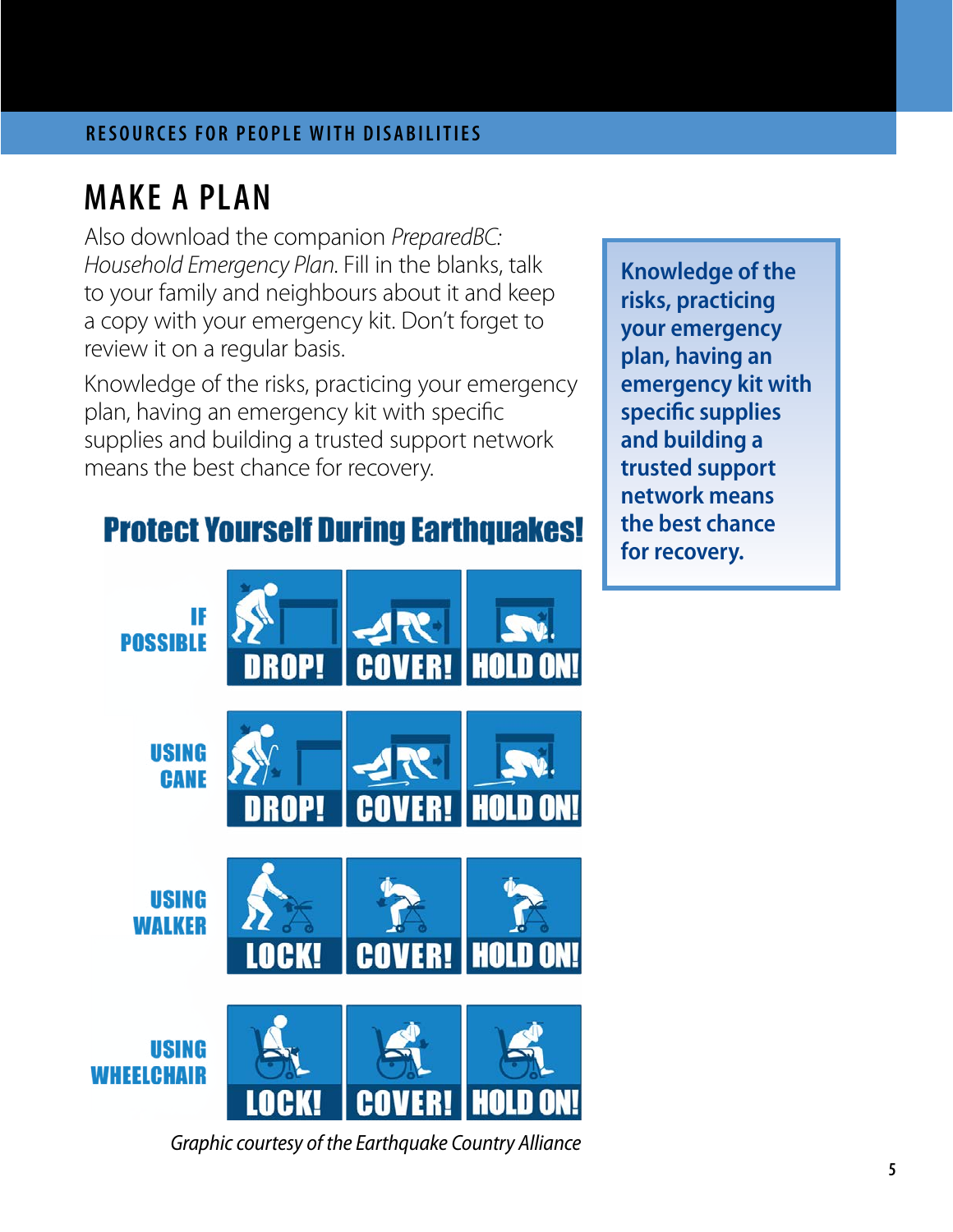### **MAKE A PLAN**

Also download the companion *PreparedBC: Household Emergency Plan*. Fill in the blanks, talk to your family and neighbours about it and keep a copy with your emergency kit. Don't forget to review it on a regular basis.

Knowledge of the risks, practicing your emergency plan, having an emergency kit with specific supplies and building a trusted support network means the best chance for recovery.

### **Protect Yourself During Earthquakes!**

**Knowledge of the risks, practicing your emergency plan, having an emergency kit with specific supplies and building a trusted support network means the best chance for recovery.**



*Graphic courtesy of the Earthquake Country Alliance*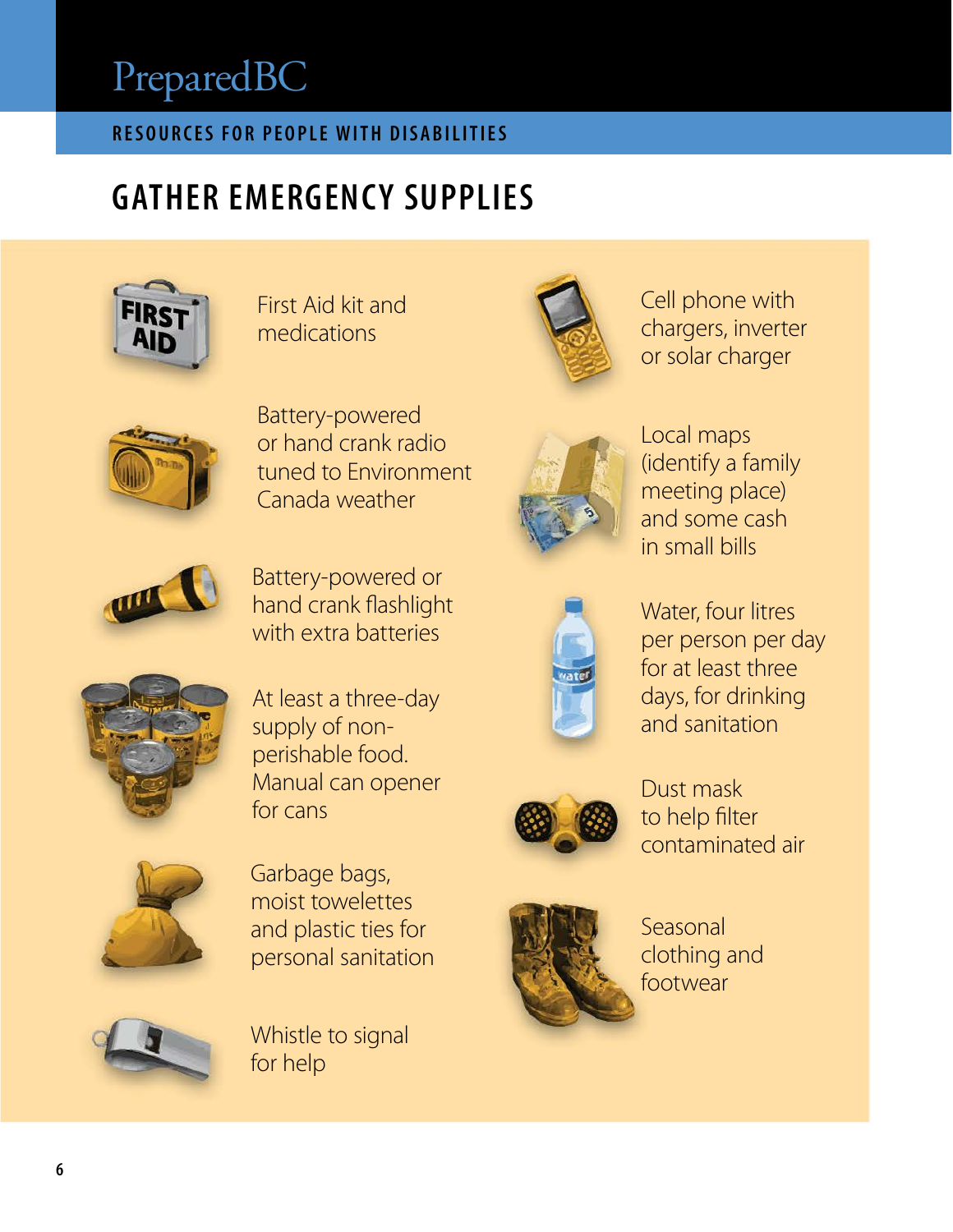### **RESOURCES FOR PEOPLE WITH DISABILITIES**

## **GATHER EMERGENCY SUPPLIES**



First Aid kit and medications



Battery-powered or hand crank radio tuned to Environment Canada weather



Battery-powered or hand crank flashlight with extra batteries



At least a three-day supply of nonperishable food. Manual can opener for cans



Garbage bags, moist towelettes and plastic ties for personal sanitation



Whistle to signal for help







Cell phone with chargers, inverter or solar charger



Water, four litres per person per day for at least three days, for drinking and sanitation



Dust mask to help filter contaminated air



Seasonal clothing and footwear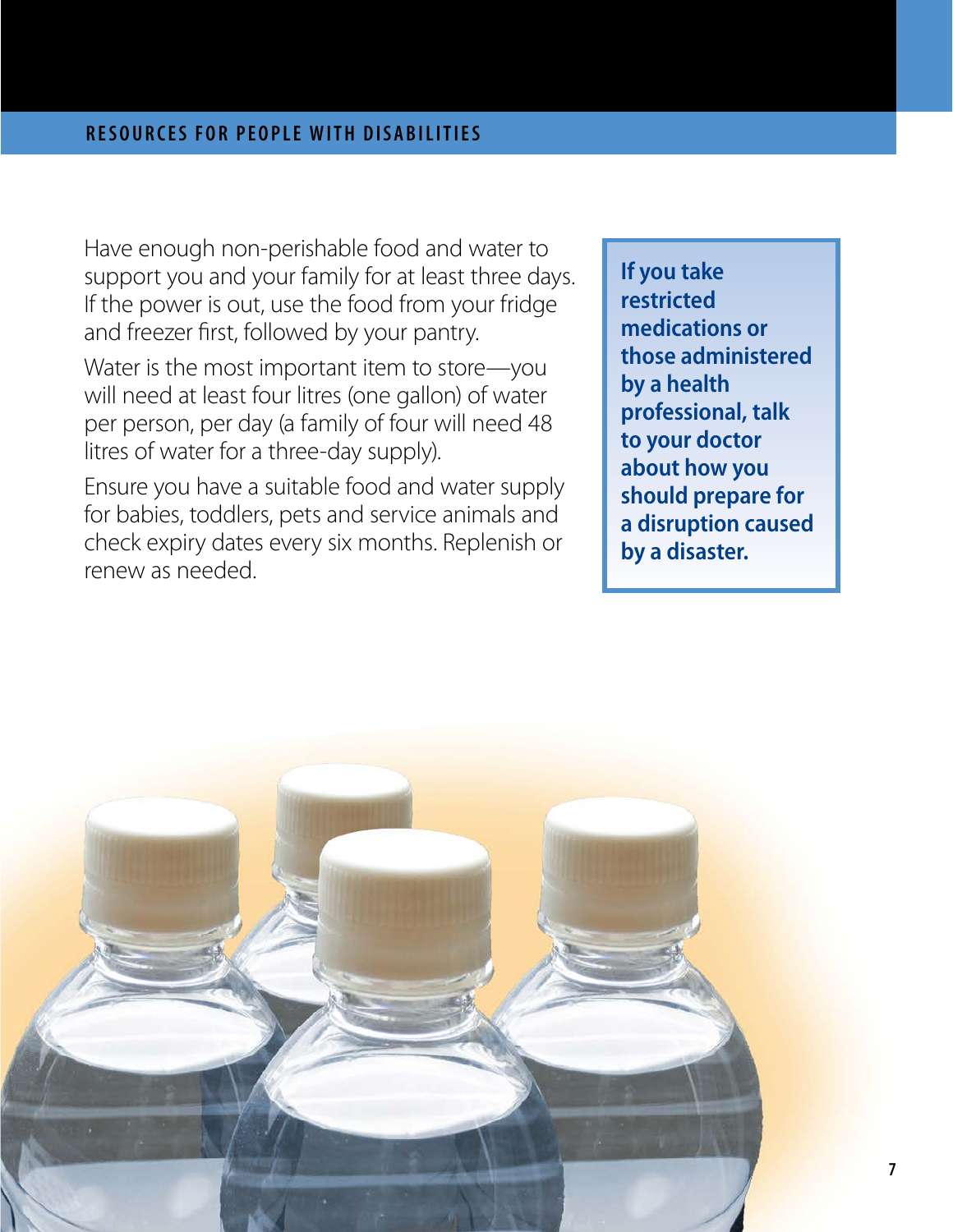Have enough non-perishable food and water to support you and your family for at least three days. If the power is out, use the food from your fridge and freezer first, followed by your pantry.

Water is the most important item to store—you will need at least four litres (one gallon) of water per person, per day (a family of four will need 48 litres of water for a three-day supply).

Ensure you have a suitable food and water supply for babies, toddlers, pets and service animals and check expiry dates every six months. Replenish or renew as needed.

**If you take restricted medications or those administered by a health professional, talk to your doctor about how you should prepare for a disruption caused by a disaster.**

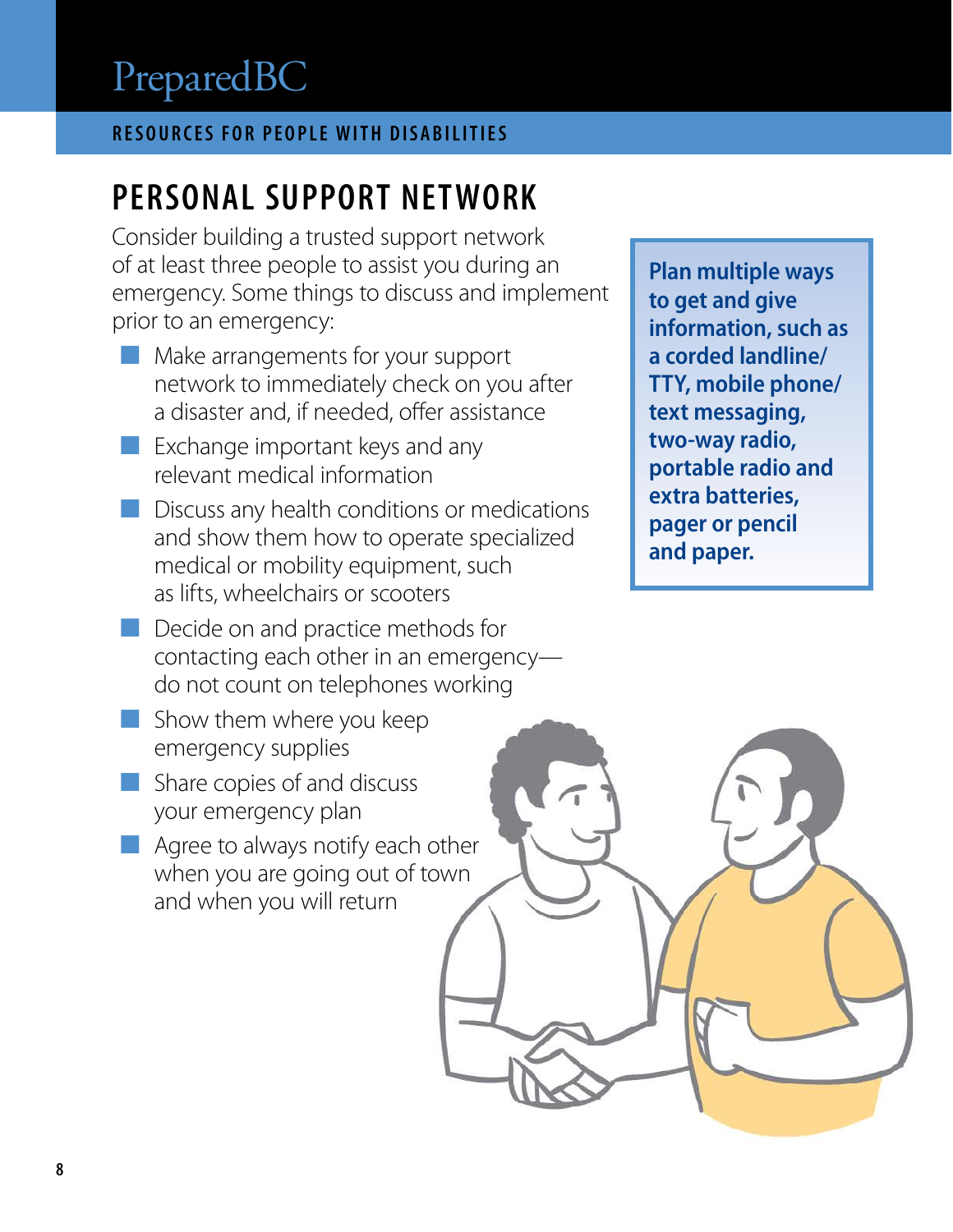### **RESOURCES FOR PEOPLE WITH DISABILITIES**

## **PERSONAL SUPPORT NETWORK**

Consider building a trusted support network of at least three people to assist you during an emergency. Some things to discuss and implement prior to an emergency:

- **EXECUTE:** Make arrangements for your support network to immediately check on you after a disaster and, if needed, offer assistance
- $\blacksquare$  Exchange important keys and any relevant medical information
- $\blacksquare$  Discuss any health conditions or medications and show them how to operate specialized medical or mobility equipment, such as lifts, wheelchairs or scooters
- $\blacksquare$  Decide on and practice methods for contacting each other in an emergency do not count on telephones working
- Show them where you keep emergency supplies
- $\blacksquare$  Share copies of and discuss your emergency plan
- Agree to always notify each other when you are going out of town and when you will return

**Plan multiple ways to get and give information, such as a corded landline/ TTY, mobile phone/ text messaging, two-way radio, portable radio and extra batteries, pager or pencil and paper.**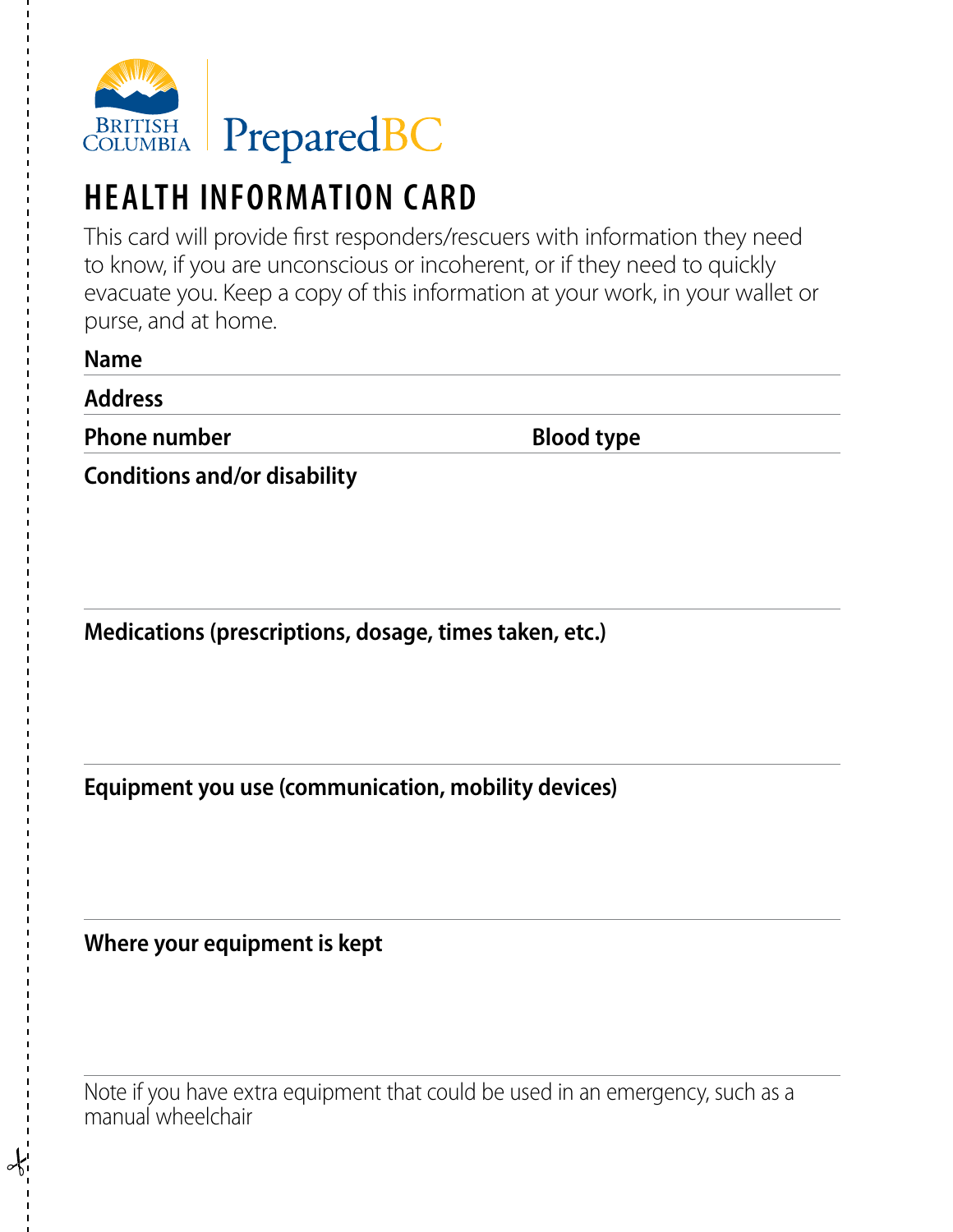

## **HEALTH INFORMATION CARD**

This card will provide first responders/rescuers with information they need to know, if you are unconscious or incoherent, or if they need to quickly evacuate you. Keep a copy of this information at your work, in your wallet or purse, and at home.

| <b>Name</b>         |                   |
|---------------------|-------------------|
| <b>Address</b>      |                   |
| <b>Phone number</b> | <b>Blood type</b> |

**Conditions and/or disability**

**Medications (prescriptions, dosage, times taken, etc.)**

**Equipment you use (communication, mobility devices)**

**Where your equipment is kept**

Note if you have extra equipment that could be used in an emergency, such as a manual wheelchair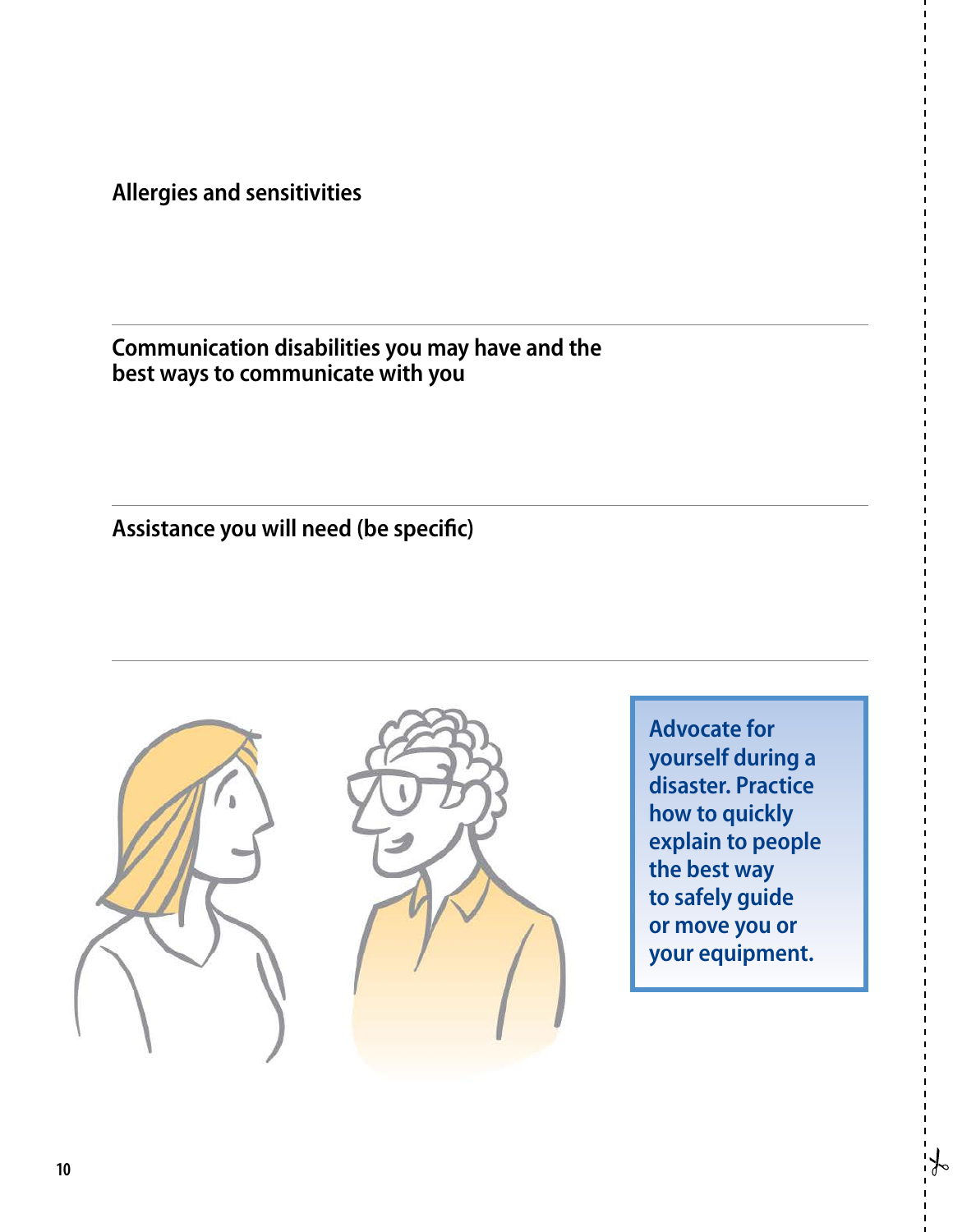**Allergies and sensitivities**

#### **Communication disabilities you may have and the best ways to communicate with you**

**Assistance you will need (be specific)**





**Advocate for yourself during a disaster. Practice how to quickly explain to people the best way to safely guide or move you or your equipment.**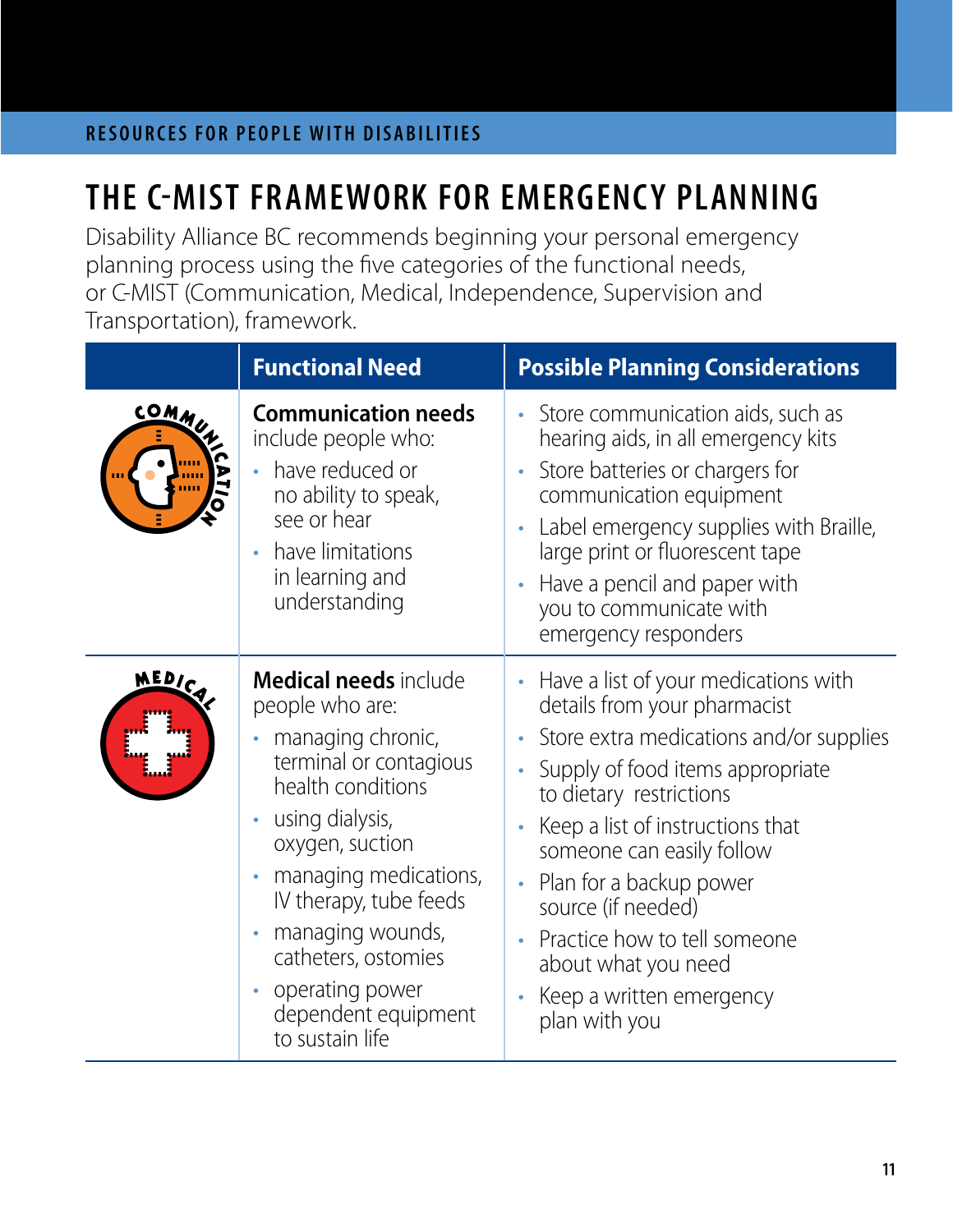## **THE C-MIST FRAMEWORK FOR EMERGENCY PLANNING**

Disability Alliance BC recommends beginning your personal emergency planning process using the five categories of the functional needs, or C-MIST (Communication, Medical, Independence, Supervision and Transportation), framework.

|              | <b>Functional Need</b>                                                                                                                                                                                                                                                                                                                                                   | <b>Possible Planning Considerations</b>                                                                                                                                                                                                                                                                                                                                                              |
|--------------|--------------------------------------------------------------------------------------------------------------------------------------------------------------------------------------------------------------------------------------------------------------------------------------------------------------------------------------------------------------------------|------------------------------------------------------------------------------------------------------------------------------------------------------------------------------------------------------------------------------------------------------------------------------------------------------------------------------------------------------------------------------------------------------|
| COMMUN       | <b>Communication needs</b><br>include people who:<br>have reduced or<br>no ability to speak,<br>see or hear<br>have limitations<br>in learning and<br>understanding                                                                                                                                                                                                      | Store communication aids, such as<br>hearing aids, in all emergency kits<br>Store batteries or chargers for<br>communication equipment<br>Label emergency supplies with Braille,<br>large print or fluorescent tape<br>Have a pencil and paper with<br>you to communicate with<br>emergency responders                                                                                               |
| <b>MEDIC</b> | <b>Medical needs</b> include<br>people who are:<br>managing chronic,<br>$\bullet$<br>terminal or contagious<br>health conditions<br>using dialysis,<br>$\bullet$<br>oxygen, suction<br>managing medications,<br>IV therapy, tube feeds<br>managing wounds,<br>$\bullet$<br>catheters, ostomies<br>operating power<br>$\bullet$<br>dependent equipment<br>to sustain life | Have a list of your medications with<br>details from your pharmacist<br>Store extra medications and/or supplies<br>Supply of food items appropriate<br>to dietary restrictions<br>Keep a list of instructions that<br>someone can easily follow<br>Plan for a backup power<br>source (if needed)<br>Practice how to tell someone<br>about what you need<br>Keep a written emergency<br>plan with you |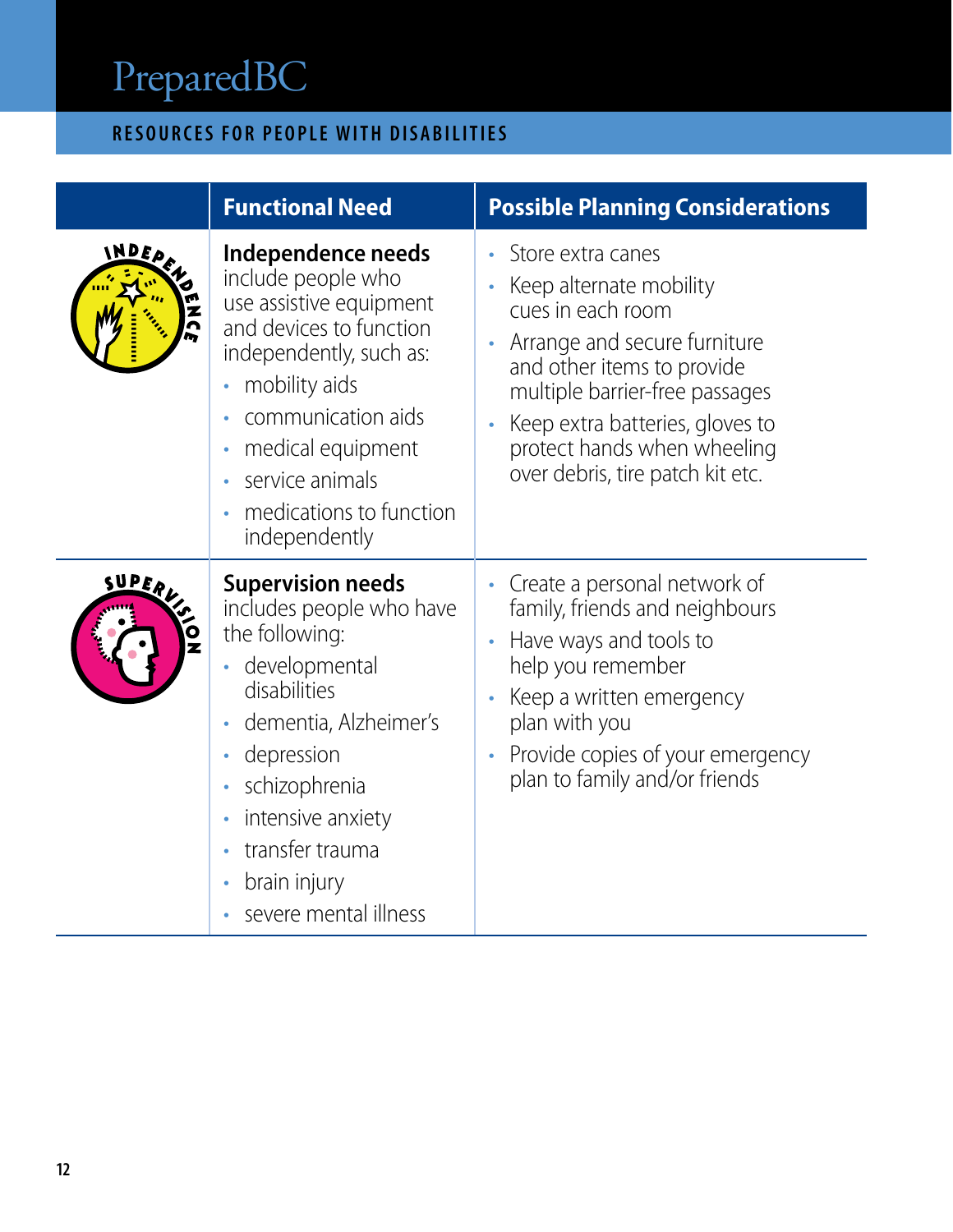### **RESOURCES FOR PEOPLE WITH DISABILITIES**

|                              | <b>Functional Need</b>                                                                                                                                                                                                                               | <b>Possible Planning Considerations</b>                                                                                                                                                                                                                                 |
|------------------------------|------------------------------------------------------------------------------------------------------------------------------------------------------------------------------------------------------------------------------------------------------|-------------------------------------------------------------------------------------------------------------------------------------------------------------------------------------------------------------------------------------------------------------------------|
| INDED<br>Z                   | Independence needs<br>include people who<br>use assistive equipment<br>and devices to function<br>independently, such as:<br>mobility aids<br>communication aids<br>medical equipment<br>service animals<br>medications to function<br>independently | Store extra canes<br>Keep alternate mobility<br>cues in each room<br>Arrange and secure furniture<br>and other items to provide<br>multiple barrier-free passages<br>Keep extra batteries, gloves to<br>protect hands when wheeling<br>over debris, tire patch kit etc. |
| SUPERL<br>$\mathbf{\hat{c}}$ | <b>Supervision needs</b><br>includes people who have<br>the following:<br>· developmental<br>disabilities<br>dementia, Alzheimer's<br>depression<br>schizophrenia<br>intensive anxiety<br>transfer trauma<br>brain injury<br>severe mental illness   | Create a personal network of<br>family, friends and neighbours<br>Have ways and tools to<br>help you remember<br>Keep a written emergency<br>plan with you<br>Provide copies of your emergency<br>plan to family and/or friends                                         |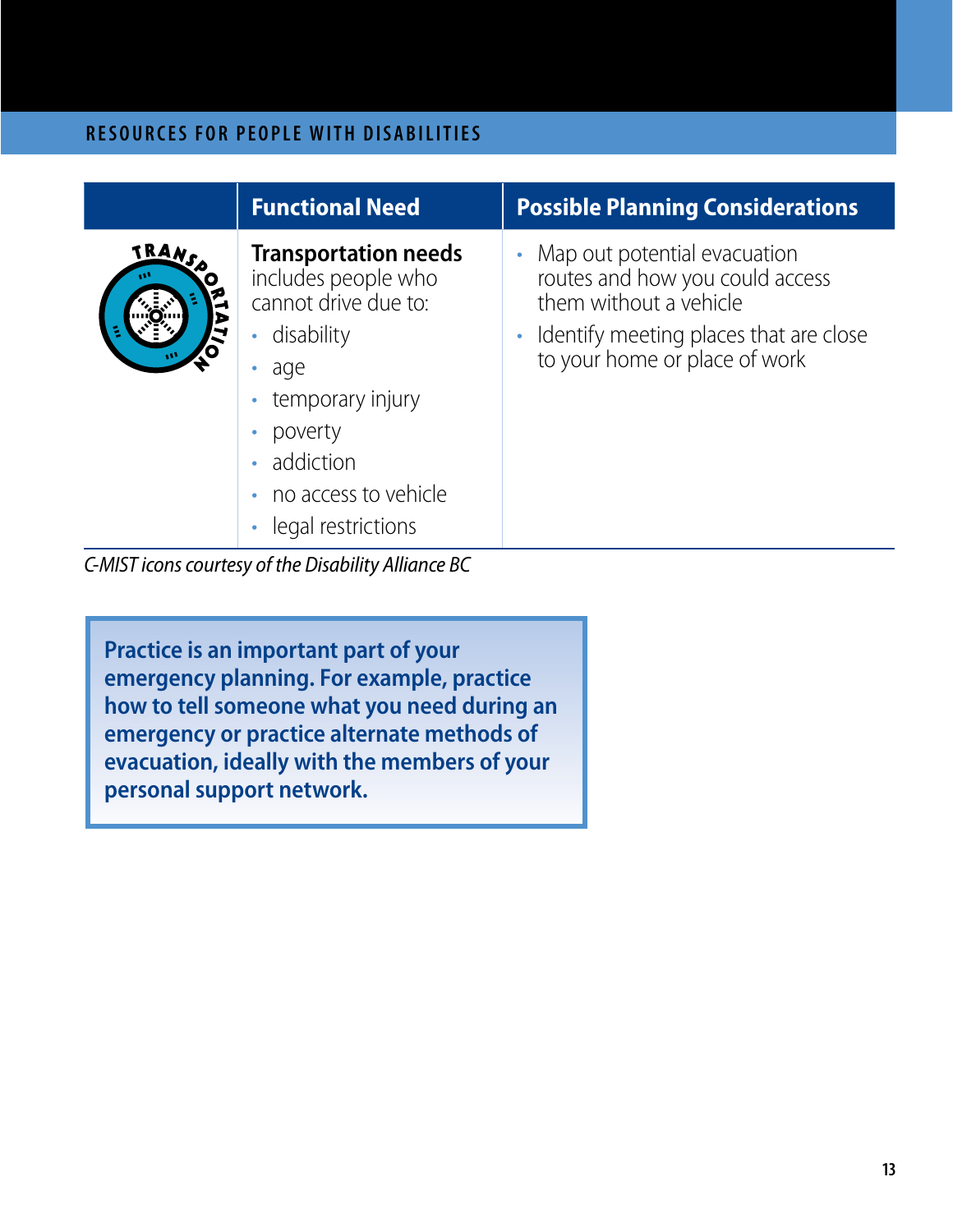|                            | <b>Functional Need</b>                                                                                                                                                                | <b>Possible Planning Considerations</b>                                                                                                                              |
|----------------------------|---------------------------------------------------------------------------------------------------------------------------------------------------------------------------------------|----------------------------------------------------------------------------------------------------------------------------------------------------------------------|
| TRANS<br>O<br>$\mathbf{v}$ | <b>Transportation needs</b><br>includes people who<br>cannot drive due to:<br>disability<br>$\bullet$<br>age<br>۰<br>temporary injury<br>poverty<br>addiction<br>no access to vehicle | Map out potential evacuation<br>routes and how you could access<br>them without a vehicle<br>Identify meeting places that are close<br>to your home or place of work |

• legal restrictions

*C-MIST icons courtesy of the Disability Alliance BC*

**Practice is an important part of your emergency planning. For example, practice how to tell someone what you need during an emergency or practice alternate methods of evacuation, ideally with the members of your personal support network.**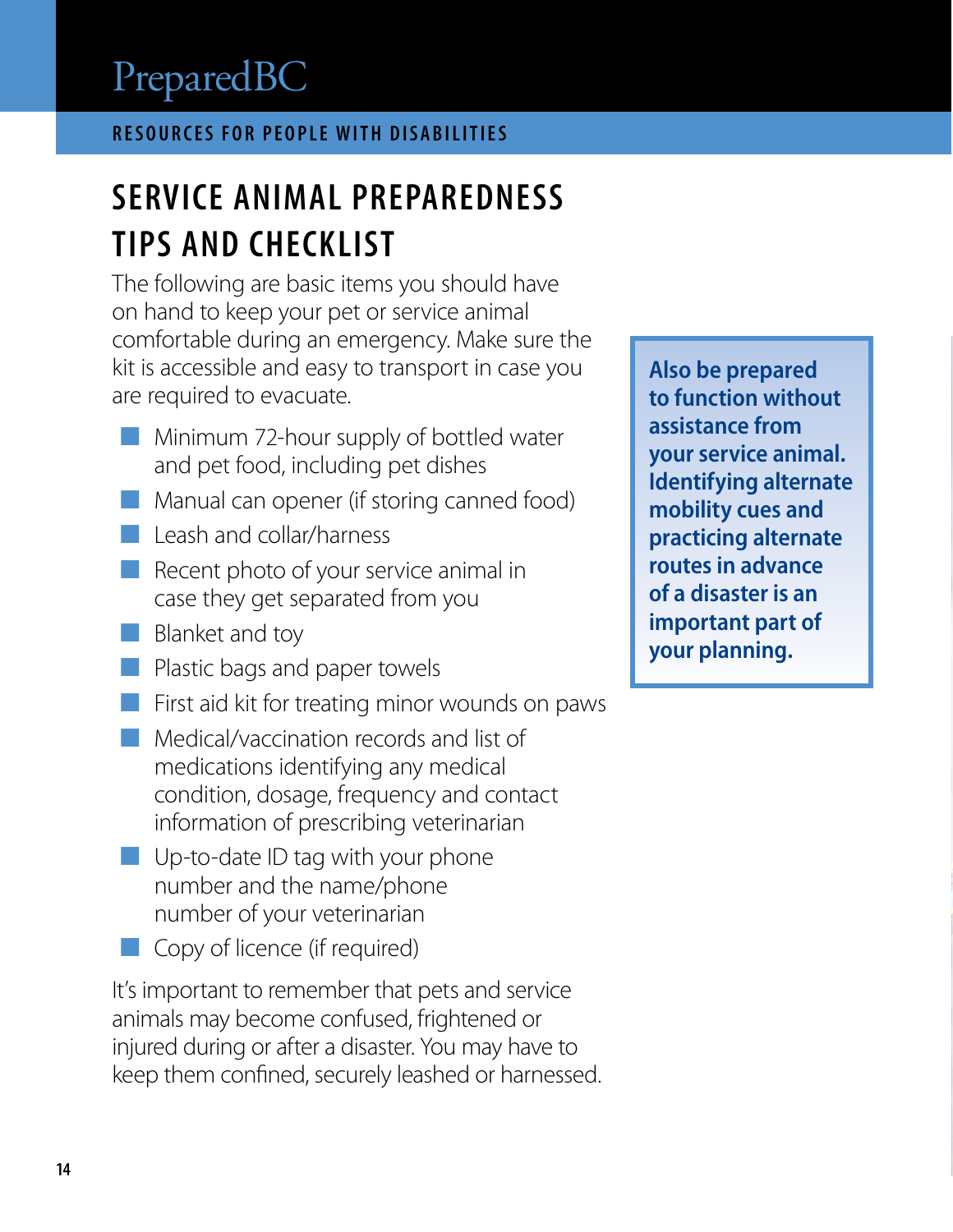## **SERVICE ANIMAL PREPAREDNESS TIPS AND CHECKLIST**

The following are basic items you should have on hand to keep your pet or service animal comfortable during an emergency. Make sure the kit is accessible and easy to transport in case you are required to evacuate.

- $\blacksquare$  Minimum 72-hour supply of bottled water and pet food, including pet dishes
- $\blacksquare$  Manual can opener (if storing canned food)
- $\Box$  Leash and collar/harness
- Recent photo of your service animal in case they get separated from you
- $\Box$  Blanket and toy
- ¢ Plastic bags and paper towels
- $\blacksquare$  First aid kit for treating minor wounds on paws
- **E** Medical/vaccination records and list of medications identifying any medical condition, dosage, frequency and contact information of prescribing veterinarian
- $\blacksquare$  Up-to-date ID tag with your phone number and the name/phone number of your veterinarian
- ¢ Copy of licence (if required)

It's important to remember that pets and service animals may become confused, frightened or injured during or after a disaster. You may have to keep them confined, securely leashed or harnessed.

**Also be prepared to function without assistance from your service animal. Identifying alternate mobility cues and practicing alternate routes in advance of a disaster is an important part of your planning.**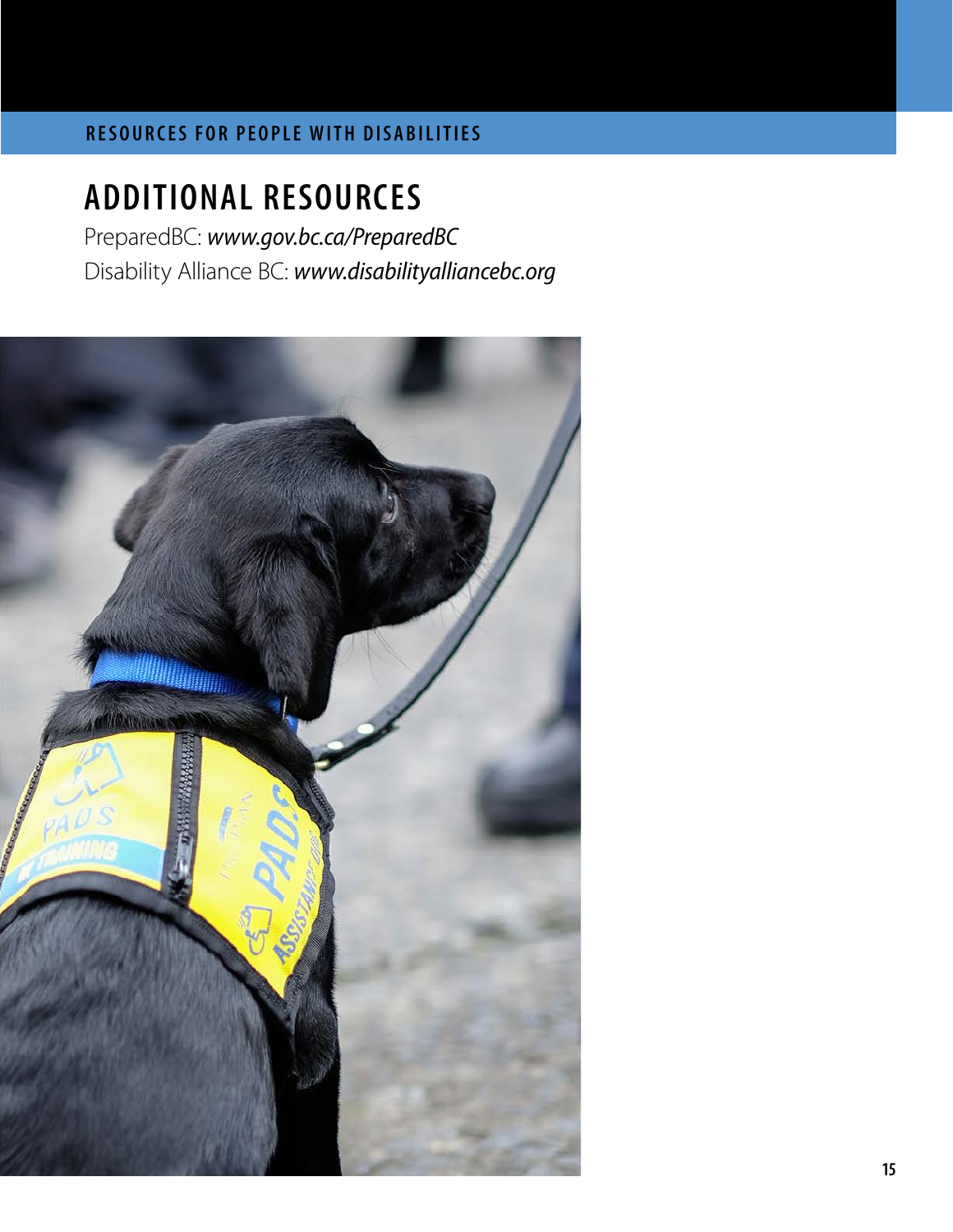### **ADDITIONAL RESOURCES**

PreparedBC: *[www.gov.bc.ca/PreparedBC](http://www.gov.bc.ca/PreparedBC)* Disability Alliance BC: *[www.disabilityalliancebc.org](http://www.disabilityalliancebc.org)*